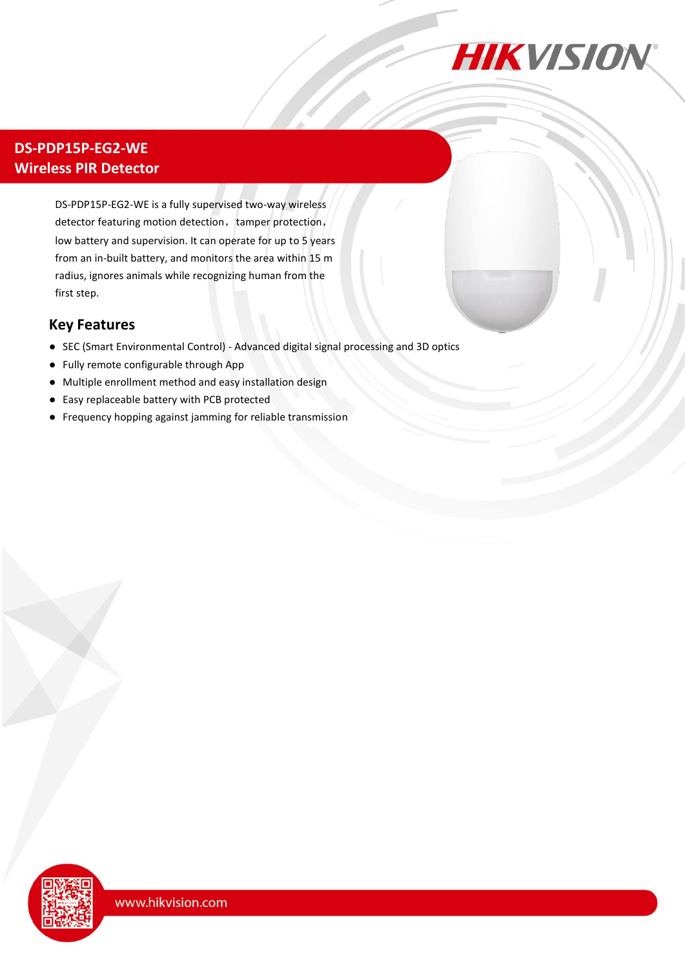

### **DS-PDP15P-EG2-WE Wireless PIR Detector**

DS-PDP15P-EG2-WE is a fully supervised two-way wireless detector featuring motion detection, tamper protection, low battery and supervision. It can operate for up to 5 years from an in-built battery, and monitors the area within 15 m radius, ignores animals while recognizing human from the first step.

#### **Key Features**

- SEC (Smart Environmental Control) Advanced digital signal processing and 3D optics
- Fully remote configurable through App
- Multiple enrollment method and easy installation design
- Easy replaceable battery with PCB protected
- Frequency hopping against jamming for reliable transmission

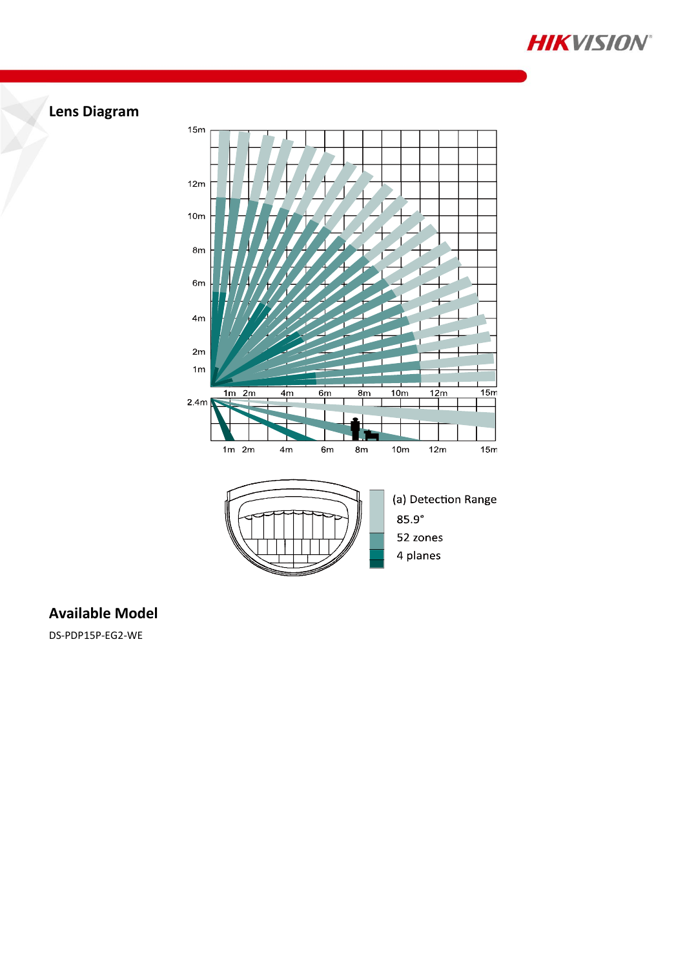

# **Lens Diagram**



### **Available Model**

DS-PDP15P-EG2-WE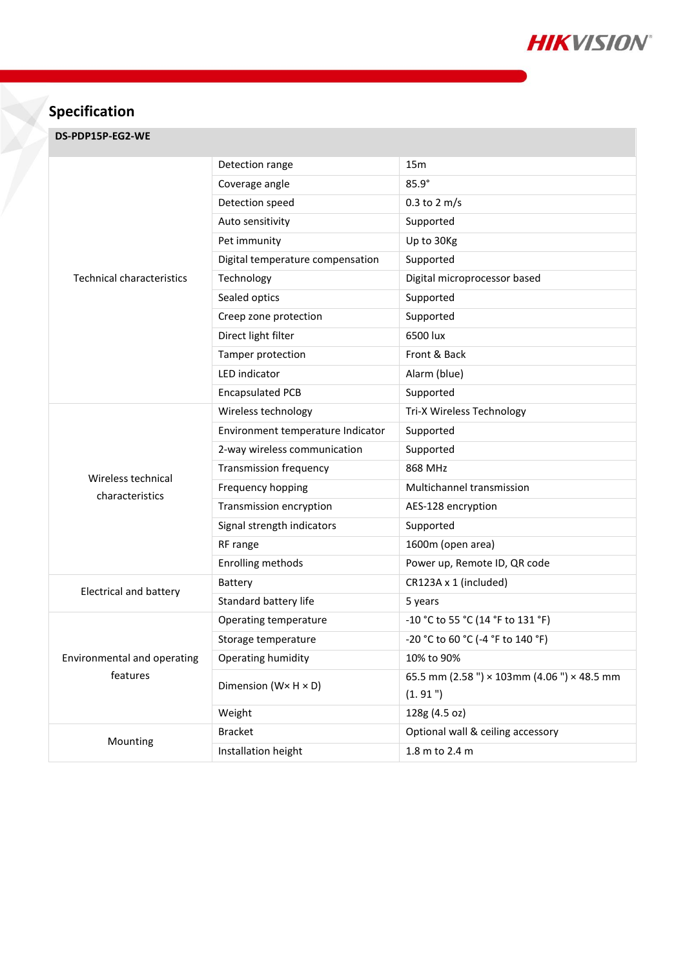

## **Specification**

#### **DS-PDP15P-EG2-WE**

| <b>Technical characteristics</b>        | Detection range                     | 15 <sub>m</sub>                             |
|-----------------------------------------|-------------------------------------|---------------------------------------------|
|                                         | Coverage angle                      | $85.9^\circ$                                |
|                                         | Detection speed                     | $0.3$ to 2 m/s                              |
|                                         | Auto sensitivity                    | Supported                                   |
|                                         | Pet immunity                        | Up to 30Kg                                  |
|                                         | Digital temperature compensation    | Supported                                   |
|                                         | Technology                          | Digital microprocessor based                |
|                                         | Sealed optics                       | Supported                                   |
|                                         | Creep zone protection               | Supported                                   |
|                                         | Direct light filter                 | 6500 lux                                    |
|                                         | Tamper protection                   | Front & Back                                |
|                                         | LED indicator                       | Alarm (blue)                                |
|                                         | <b>Encapsulated PCB</b>             | Supported                                   |
| Wireless technical<br>characteristics   | Wireless technology                 | Tri-X Wireless Technology                   |
|                                         | Environment temperature Indicator   | Supported                                   |
|                                         | 2-way wireless communication        | Supported                                   |
|                                         | <b>Transmission frequency</b>       | 868 MHz                                     |
|                                         | Frequency hopping                   | Multichannel transmission                   |
|                                         | Transmission encryption             | AES-128 encryption                          |
|                                         | Signal strength indicators          | Supported                                   |
|                                         | RF range                            | 1600m (open area)                           |
|                                         | Enrolling methods                   | Power up, Remote ID, QR code                |
| <b>Electrical and battery</b>           | Battery                             | CR123A x 1 (included)                       |
|                                         | Standard battery life               | 5 years                                     |
| Environmental and operating<br>features | Operating temperature               | -10 °C to 55 °C (14 °F to 131 °F)           |
|                                         | Storage temperature                 | -20 °C to 60 °C (-4 °F to 140 °F)           |
|                                         | Operating humidity                  | 10% to 90%                                  |
|                                         | Dimension ( $W \times H \times D$ ) | 65.5 mm (2.58 ") × 103mm (4.06 ") × 48.5 mm |
|                                         |                                     | (1.91")                                     |
|                                         | Weight                              | 128g (4.5 oz)                               |
| Mounting                                | <b>Bracket</b>                      | Optional wall & ceiling accessory           |
|                                         | Installation height                 | 1.8 m to 2.4 m                              |